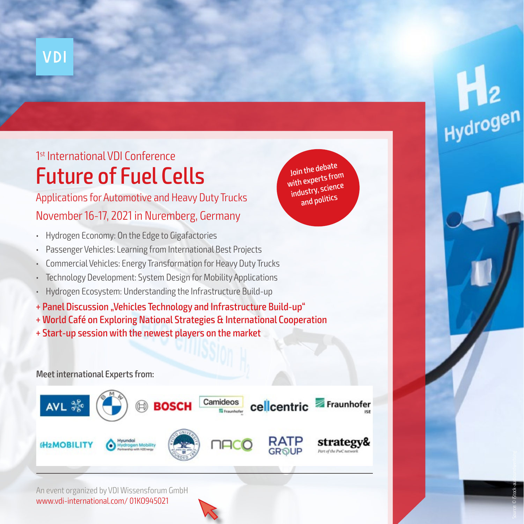# Future of Fuel Cells 1 st International VDI Conference

## Applications for Automotive and Heavy Duty Trucks November 16-17, 2021 in Nuremberg, Germany

- Hydrogen Economy: On the Edge to Gigafactories
- Passenger Vehicles: Learning from International Best Projects
- Commercial Vehicles: Energy Transformation for Heavy Duty Trucks
- Technology Development: System Design for Mobility Applications
- Hydrogen Ecosystem: Understanding the Infrastructure Build-up
- + Panel Discussion "Vehicles Technology and Infrastructure Build-up"
- + World Café on Exploring National Strategies & International Cooperation
- + Start-up session with the newest players on the market

### Meet international Experts from:



An event organized by VDI Wissensforum GmbH www.vdi-international.com/ 01KO945021

Join the debate with experts from industry, science and politics

Source: © iStock-audioundwerbung

Hydrogen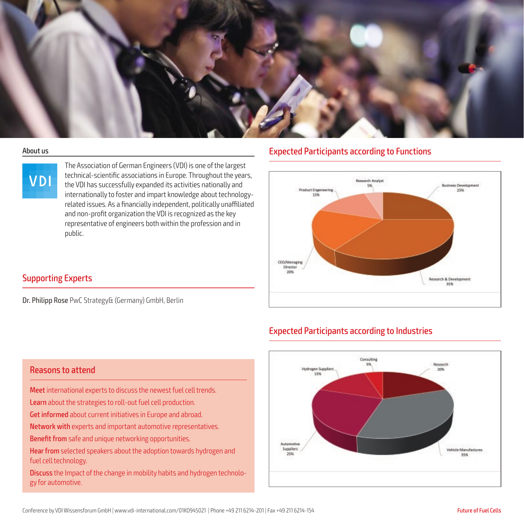



The Association of German Engineers (VDI) is one of the largest technical-scientific associations in Europe. Throughout the years, the VDI has successfully expanded its activities nationally and internationally to foster and impart knowledge about technologyrelated issues. As a financially independent, politically unaffiliated and non-profit organization the VDI is recognized as the key representative of engineers both within the profession and in public.

### About us **About us** Expected Participants according to Functions

Expected Participants according to Industries



### Supporting Experts

Dr. Philipp Rose PwC Strategy& (Germany) GmbH, Berlin



### Reasons to attend

Meet international experts to discuss the newest fuel cell trends.

Learn about the strategies to roll-out fuel cell production.

Get informed about current initiatives in Europe and abroad.

Network with experts and important automotive representatives.

Benefit from safe and unique networking opportunities.

Hear from selected speakers about the adoption towards hydrogen and fuel cell technology.

Discuss the Impact of the change in mobility habits and hydrogen technology for automotive.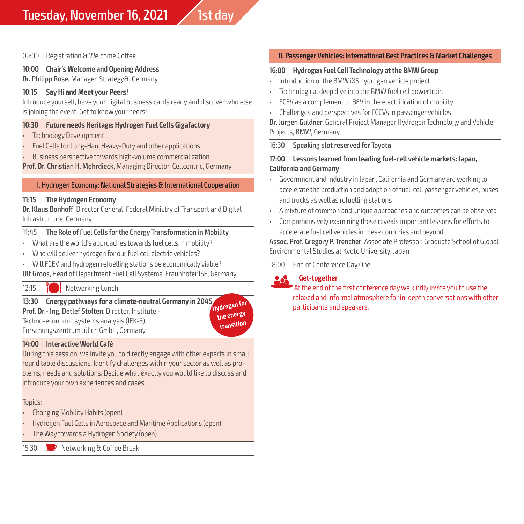### 09:00 Registration & Welcome Coffee

### **10:00 Chair's Welcome and Opening Address**

Dr. Philipp Rose, Manager, Strategy&, Germany

### **10:15 Say Hi and Meet your Peers!**

Introduce yourself, have your digital business cards ready and discover who else is joining the event. Get to know your peers!

### **10:30 Future needs Heritage: Hydrogen Fuel Cells Gigafactory**

- Technology Development
- Fuel Cells for Long-Haul Heavy-Duty and other applications
- Business perspective towards high-volume commercialization

Prof. Dr. Christian H. Mohrdieck, Managing Director, Cellcentric, Germany

### I. Hydrogen Economy: National Strategies & International Cooperation

### **11:15 The Hydrogen Economy**

Dr. Klaus Bonhoff, Director General, Federal Ministry of Transport and Digital Infrastructure, Germany

### 11:45 The Role of Fuel Cells for the Energy Transformation in Mobility

- What are the world's approaches towards fuel cells in mobility?
- Who will deliver hydrogen for our fuel cell electric vehicles?
- Will FCEV and hydrogen refuelling stations be economically viable?

Ulf Groos, Head of Department Fuel Cell Systems, Fraunhofer ISE, Germany

12:15 TW Networking Lunch

### **13:30 Energy pathways for a climate-neutral Germany in 2045**

Prof. Dr.- Ing. Detlef Stolten, Director, Institute - Techno-economic systems analysis (IEK-3), Forschungszentrum Jülich GmbH, Germany

**Hydrogen for the energy transition**

### **14:00 Interactive World Café**

During this session, we invite you to directly engage with other experts in small round table discussions. Identify challenges within your sector as well as problems, needs and solutions. Decide what exactly you would like to discuss and introduce your own experiences and cases.

### Topics:

- Changing Mobility Habits (open)
- Hydrogen Fuel Cells in Aerospace and Maritime Applications (open)
- The Way towards a Hydrogen Society (open)

15:30 P Networking & Coffee Break

### **II. Passenger Vehicles: International Best Practices & Market Challenges**

### **16:00 Hydrogen Fuel Cell Technology at the BMW Group**

- Introduction of the BMW iX5 hydrogen vehicle project
- Technological deep dive into the BMW fuel cell powertrain
- FCEV as a complement to BEV in the electrification of mobility
- Challenges and perspectives for FCEVs in passenger vehicles

Dr. Jürgen Guldner, General Project Manager Hydrogen Technology and Vehicle Projects, BMW, Germany

### 16:30 Speaking slot reserved for Toyota

### **17:00 Lessons learned from leading fuel-cell vehicle markets: Japan, California and Germany**

- Government and industry in Japan, California and Germany are working to accelerate the production and adoption of fuel-cell passenger vehicles, buses and trucks as well as refuelling stations
- A mixture of common and unique approaches and outcomes can be observed
- Comprehensively examining these reveals important lessons for efforts to accelerate fuel cell vehicles in these countries and beyond

Assoc. Prof. Gregory P. Trencher, Associate Professor, Graduate School of Global Environmental Studies at Kyoto University, Japan

18:00 End of Conference Day One

![](_page_2_Picture_45.jpeg)

**Computer Considering Contains and Consider to the first conference day we kindly invite you to use the** relaxed and informal atmosphere for in-depth conversations with other participants and speakers.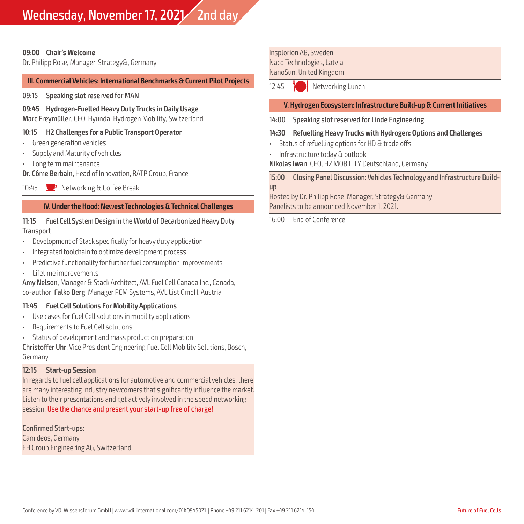### **09:00 Chair's Welcome**

Dr. Philipp Rose, Manager, Strategy&, Germany

### **III. Commercial Vehicles: International Benchmarks & Current Pilot Projects**

09:15 Speaking slot reserved for MAN

### **09:45 Hydrogen-Fuelled Heavy Duty Trucks in Daily Usage**

Marc Freymüller, CEO, Hyundai Hydrogen Mobility, Switzerland

### **10:15 H2 Challenges for a Public Transport Operator**

- Green generation vehicles
- Supply and Maturity of vehicles
- Long term maintenance
- Dr. Côme Berbain, Head of Innovation, RATP Group, France
- 10:45 P Networking & Coffee Break

### **IV. Under the Hood: Newest Technologies & Technical Challenges**

### **11:15** Fuel Cell System Design in the World of Decarbonized Heavy Duty **Transport**

- Development of Stack specifically for heavy duty application
- Integrated toolchain to optimize development process
- Predictive functionality for further fuel consumption improvements
- Lifetime improvements

Amy Nelson, Manager & Stack Architect, AVL Fuel Cell Canada Inc., Canada, co-author: Falko Berg, Manager PEM Systems, AVL List GmbH, Austria

### **11:45 Fuel Cell Solutions For Mobility Applications**

- Use cases for Fuel Cell solutions in mobility applications
- Requirements to Fuel Cell solutions
- Status of development and mass production preparation

Christoffer Uhr, Vice President Engineering Fuel Cell Mobility Solutions, Bosch, Germany

### **12:15 Start-up Session**

In regards to fuel cell applications for automotive and commercial vehicles, there are many interesting industry newcomers that significantly influence the market. Listen to their presentations and get actively involved in the speed networking session. Use the chance and present your start-up free of charge!

Confirmed Start-ups: Camideos, Germany EH Group Engineering AG, Switzerland Insplorion AB, Sweden Naco Technologies, Latvia NanoSun, United Kingdom

12:45 **M** Networking Lunch

### **V. Hydrogen Ecosystem: Infrastructure Build-up & Current Initiatives**

14:00 Speaking slot reserved for Linde Engineering

### **14:30 Refuelling Heavy Trucks with Hydrogen: Options and Challenges**

- Status of refuelling options for HD & trade offs
- Infrastructure today & outlook

Nikolas Iwan, CEO, H2 MOBILITY Deutschland, Germany

15:00 Closing Panel Discussion: Vehicles Technology and Infrastructure Buildup

Hosted by Dr. Philipp Rose, Manager, Strategy& Germany Panelists to be announced November 1, 2021.

16:00 End of Conference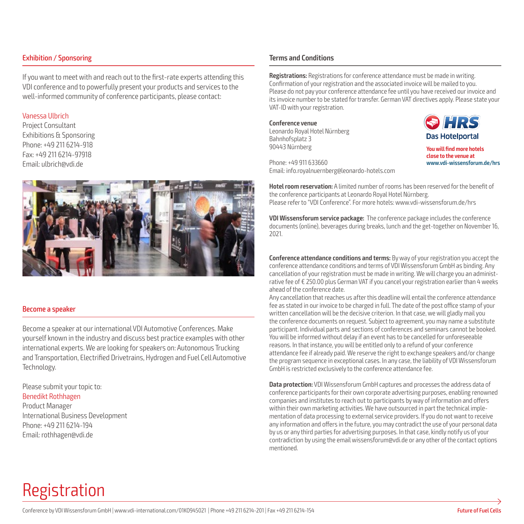### Exhibition / Sponsoring

If you want to meet with and reach out to the first-rate experts attending this VDI conference and to powerfully present your products and services to the well-informed community of conference participants, please contact:

### Vanessa Ulbrich

Project Consultant Exhibitions & Sponsoring Phone: +49 211 6214-918 Fax: +49 211 6214-97918 Email: ulbrich@vdi.de

![](_page_4_Picture_4.jpeg)

### Become a speaker

Become a speaker at our international VDI Automotive Conferences. Make yourself known in the industry and discuss best practice examples with other international experts. We are looking for speakers on: Autonomous Trucking and Transportation, Electrified Drivetrains, Hydrogen and Fuel Cell Automotive Technology.

Please submit your topic to: Benedikt Rothhagen

Product Manager International Business Development Phone: +49 211 6214-194 Email: rothhagen@vdi.de

### **Terms and Conditions**

**Registrations:** Registrations for conference attendance must be made in writing. Confirmation of your registration and the associated invoice will be mailed to you. Please do not pay your conference attendance fee until you have received our invoice and its invoice number to be stated for transfer. German VAT directives apply. Please state your VAT-ID with your registration.

**Conference venue** Leonardo Royal Hotel Nürnberg Bahnhofsplatz 3 90443 Nürnberg

![](_page_4_Picture_13.jpeg)

**You will find more hotels close to the venue at www.vdi-wissensforum.de/hrs**

Phone: +49 911 633660 Email: info.royalnuernberg@leonardo-hotels.com

**Hotel room reservation:** A limited number of rooms has been reserved for the benefit of the conference participants at Leonardo Royal Hotel Nürnberg. Please refer to "VDI Conference". For more hotels: www.vdi-wissensforum.de/hrs

**VDI Wissensforum service package:** The conference package includes the conference documents (online), beverages during breaks, lunch and the get-together on November 16, 2021.

**Conference attendance conditions and terms:** By way of your registration you accept the conference attendance conditions and terms of VDI Wissensforum GmbH as binding. Any cancellation of your registration must be made in writing. We will charge you an administrative fee of € 250.00 plus German VAT if you cancel your registration earlier than 4 weeks ahead of the conference date.

Any cancellation that reaches us after this deadline will entail the conference attendance fee as stated in our invoice to be charged in full. The date of the post office stamp of your written cancellation will be the decisive criterion. In that case, we will gladly mail you the conference documents on request. Subject to agreement, you may name a substitute participant. Individual parts and sections of conferences and seminars cannot be booked. You will be informed without delay if an event has to be cancelled for unforeseeable reasons. In that instance, you will be entitled only to a refund of your conference attendance fee if already paid. We reserve the right to exchange speakers and/or change the program sequence in exceptional cases. In any case, the liability of VDI Wissensforum GmbH is restricted exclusively to the conference attendance fee.

**Data protection:** VDI Wissensforum GmbH captures and processes the address data of conference participants for their own corporate advertising purposes, enabling renowned companies and institutes to reach out to participants by way of information and offers within their own marketing activities. We have outsourced in part the technical implementation of data processing to external service providers. If you do not want to receive any information and offers in the future, you may contradict the use of your personal data by us or any third parties for advertising purposes. In that case, kindly notify us of your contradiction by using the email wissensforum@vdi.de or any other of the contact options mentioned.

# Registration

![](_page_4_Picture_23.jpeg)